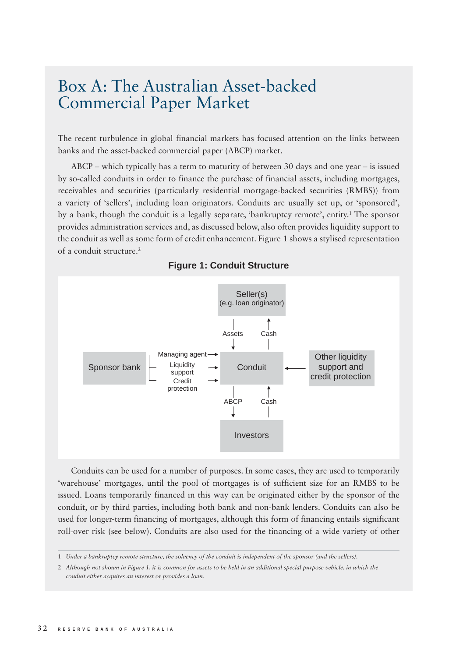## Box A: The Australian Asset-backed Commercial Paper Market

The recent turbulence in global financial markets has focused attention on the links between banks and the asset-backed commercial paper (ABCP) market.

ABCP – which typically has a term to maturity of between 30 days and one year – is issued by so-called conduits in order to finance the purchase of financial assets, including mortgages, receivables and securities (particularly residential mortgage-backed securities (RMBS)) from a variety of 'sellers', including loan originators. Conduits are usually set up, or 'sponsored', by a bank, though the conduit is a legally separate, 'bankruptcy remote', entity.<sup>1</sup> The sponsor provides administration services and, as discussed below, also often provides liquidity support to the conduit as well as some form of credit enhancement. Figure 1 shows a stylised representation of a conduit structure.<sup>2</sup>



**Figure 1: Conduit Structure**

Conduits can be used for a number of purposes. In some cases, they are used to temporarily 'warehouse' mortgages, until the pool of mortgages is of sufficient size for an RMBS to be issued. Loans temporarily financed in this way can be originated either by the sponsor of the conduit, or by third parties, including both bank and non-bank lenders. Conduits can also be used for longer-term financing of mortgages, although this form of financing entails significant roll-over risk (see below). Conduits are also used for the financing of a wide variety of other

<sup>1</sup> *Under a bankruptcy remote structure, the solvency of the conduit is independent of the sponsor (and the sellers).* 

<sup>2</sup> *Although not shown in Figure 1, it is common for assets to be held in an additional special purpose vehicle, in which the conduit either acquires an interest or provides a loan.*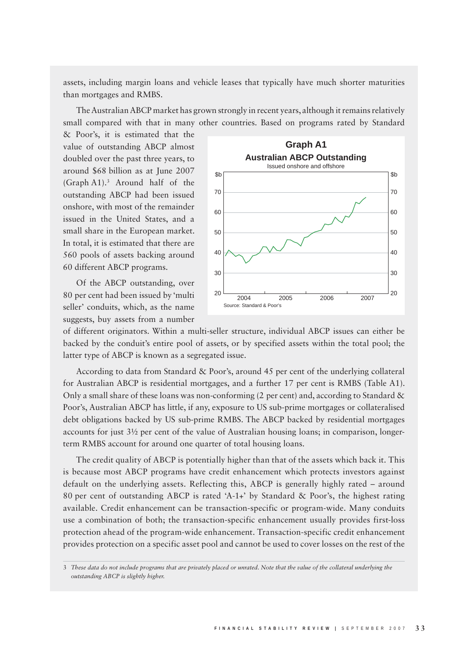assets, including margin loans and vehicle leases that typically have much shorter maturities than mortgages and RMBS.

The Australian ABCP market has grown strongly in recent years, although it remains relatively small compared with that in many other countries. Based on programs rated by Standard

& Poor's, it is estimated that the value of outstanding ABCP almost doubled over the past three years, to around \$68 billion as at June 2007 (Graph A1).3 Around half of the outstanding ABCP had been issued onshore, with most of the remainder issued in the United States, and a small share in the European market. In total, it is estimated that there are 560 pools of assets backing around 60 different ABCP programs.

Of the ABCP outstanding, over 80 per cent had been issued by 'multi seller' conduits, which, as the name suggests, buy assets from a number



of different originators. Within a multi-seller structure, individual ABCP issues can either be backed by the conduit's entire pool of assets, or by specified assets within the total pool; the latter type of ABCP is known as a segregated issue.

According to data from Standard & Poor's, around 45 per cent of the underlying collateral for Australian ABCP is residential mortgages, and a further 17 per cent is RMBS (Table A1). Only a small share of these loans was non-conforming (2 per cent) and, according to Standard  $&$ Poor's, Australian ABCP has little, if any, exposure to US sub-prime mortgages or collateralised debt obligations backed by US sub-prime RMBS. The ABCP backed by residential mortgages accounts for just 3½ per cent of the value of Australian housing loans; in comparison, longerterm RMBS account for around one quarter of total housing loans.

The credit quality of ABCP is potentially higher than that of the assets which back it. This is because most ABCP programs have credit enhancement which protects investors against default on the underlying assets. Reflecting this, ABCP is generally highly rated – around 80 per cent of outstanding ABCP is rated 'A-1+' by Standard & Poor's, the highest rating available. Credit enhancement can be transaction-specific or program-wide. Many conduits use a combination of both; the transaction-specific enhancement usually provides first-loss protection ahead of the program-wide enhancement. Transaction-specific credit enhancement provides protection on a specific asset pool and cannot be used to cover losses on the rest of the

<sup>3</sup> *These data do not include programs that are privately placed or unrated. Note that the value of the collateral underlying the outstanding ABCP is slightly higher.*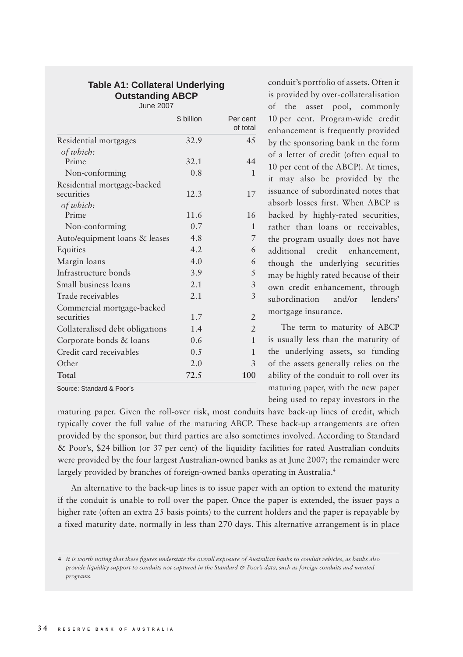## **Table A1: Collateral Underlying Outstanding ABCP** June 2007

|                                 | \$ billion | Per cent<br>of total |
|---------------------------------|------------|----------------------|
| Residential mortgages           | 32.9       | 4.5                  |
| of which:                       |            |                      |
| Prime                           | 32.1       | 44                   |
| Non-conforming                  | 0.8        | $\mathbf{1}$         |
| Residential mortgage-backed     |            |                      |
| securities                      | 12.3       | 17                   |
| of which:                       |            |                      |
| Prime                           | 11.6       | 16                   |
| Non-conforming                  | 0.7        | 1                    |
| Auto/equipment loans & leases   | 4.8        | 7                    |
| Equities                        | 4.2        | 6                    |
| Margin loans                    | 4.0        | 6                    |
| Infrastructure bonds            | 3.9        | 5                    |
| Small business loans            | 2.1        | 3                    |
| Trade receivables               | 2.1        | 3                    |
| Commercial mortgage-backed      |            |                      |
| securities                      | 1.7        | $\overline{2}$       |
| Collateralised debt obligations | 1.4        | 2                    |
| Corporate bonds & loans         | 0.6        | $\mathbf{1}$         |
| Credit card receivables         | 0.5        | 1                    |
| Other                           | 2.0        | 3                    |
| Total                           | 72.5       | 100                  |

Source: Standard & Poor's

conduit's portfolio of assets. Often it is provided by over-collateralisation of the asset pool, commonly 10 per cent. Program-wide credit enhancement is frequently provided by the sponsoring bank in the form of a letter of credit (often equal to 10 per cent of the ABCP). At times, it may also be provided by the issuance of subordinated notes that absorb losses first. When ABCP is backed by highly-rated securities, rather than loans or receivables, the program usually does not have additional credit enhancement, though the underlying securities may be highly rated because of their own credit enhancement, through subordination and/or lenders' mortgage insurance.

The term to maturity of ABCP is usually less than the maturity of the underlying assets, so funding of the assets generally relies on the ability of the conduit to roll over its maturing paper, with the new paper being used to repay investors in the

maturing paper. Given the roll-over risk, most conduits have back-up lines of credit, which typically cover the full value of the maturing ABCP. These back-up arrangements are often provided by the sponsor, but third parties are also sometimes involved. According to Standard & Poor's, \$24 billion (or 37 per cent) of the liquidity facilities for rated Australian conduits were provided by the four largest Australian-owned banks as at June 2007; the remainder were largely provided by branches of foreign-owned banks operating in Australia.<sup>4</sup>

An alternative to the back-up lines is to issue paper with an option to extend the maturity if the conduit is unable to roll over the paper. Once the paper is extended, the issuer pays a higher rate (often an extra 25 basis points) to the current holders and the paper is repayable by a fixed maturity date, normally in less than 270 days. This alternative arrangement is in place

<sup>4</sup> It is worth noting that these figures understate the overall exposure of Australian banks to conduit vehicles, as banks also *provide liquidity support to conduits not captured in the Standard & Poor's data, such as foreign conduits and unrated programs.*